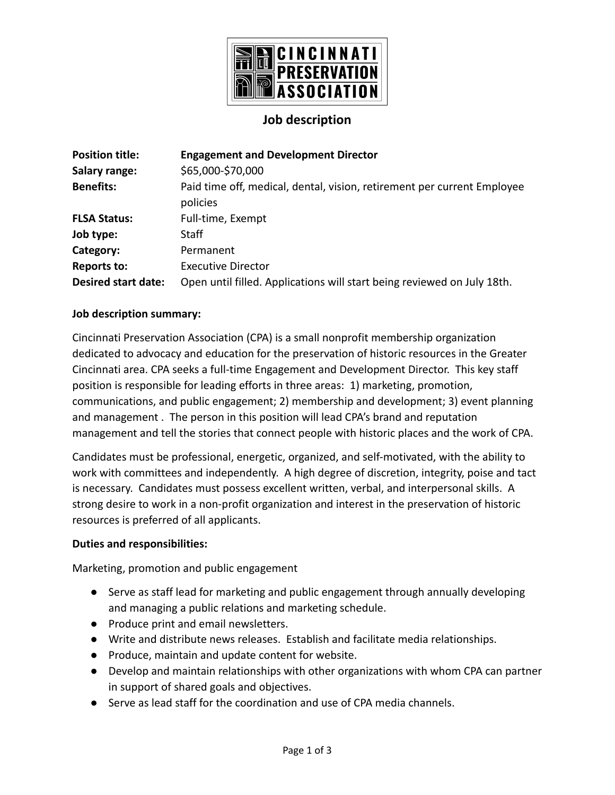

## **Job description**

| <b>Position title:</b>     | <b>Engagement and Development Director</b>                                          |
|----------------------------|-------------------------------------------------------------------------------------|
| Salary range:              | \$65,000-\$70,000                                                                   |
| <b>Benefits:</b>           | Paid time off, medical, dental, vision, retirement per current Employee<br>policies |
| <b>FLSA Status:</b>        | Full-time, Exempt                                                                   |
| Job type:                  | Staff                                                                               |
| Category:                  | Permanent                                                                           |
| <b>Reports to:</b>         | <b>Executive Director</b>                                                           |
| <b>Desired start date:</b> | Open until filled. Applications will start being reviewed on July 18th.             |

#### **Job description summary:**

Cincinnati Preservation Association (CPA) is a small nonprofit membership organization dedicated to advocacy and education for the preservation of historic resources in the Greater Cincinnati area. CPA seeks a full-time Engagement and Development Director. This key staff position is responsible for leading efforts in three areas: 1) marketing, promotion, communications, and public engagement; 2) membership and development; 3) event planning and management . The person in this position will lead CPA's brand and reputation management and tell the stories that connect people with historic places and the work of CPA.

Candidates must be professional, energetic, organized, and self-motivated, with the ability to work with committees and independently. A high degree of discretion, integrity, poise and tact is necessary. Candidates must possess excellent written, verbal, and interpersonal skills. A strong desire to work in a non-profit organization and interest in the preservation of historic resources is preferred of all applicants.

#### **Duties and responsibilities:**

Marketing, promotion and public engagement

- Serve as staff lead for marketing and public engagement through annually developing and managing a public relations and marketing schedule.
- Produce print and email newsletters.
- Write and distribute news releases. Establish and facilitate media relationships.
- Produce, maintain and update content for website.
- Develop and maintain relationships with other organizations with whom CPA can partner in support of shared goals and objectives.
- Serve as lead staff for the coordination and use of CPA media channels.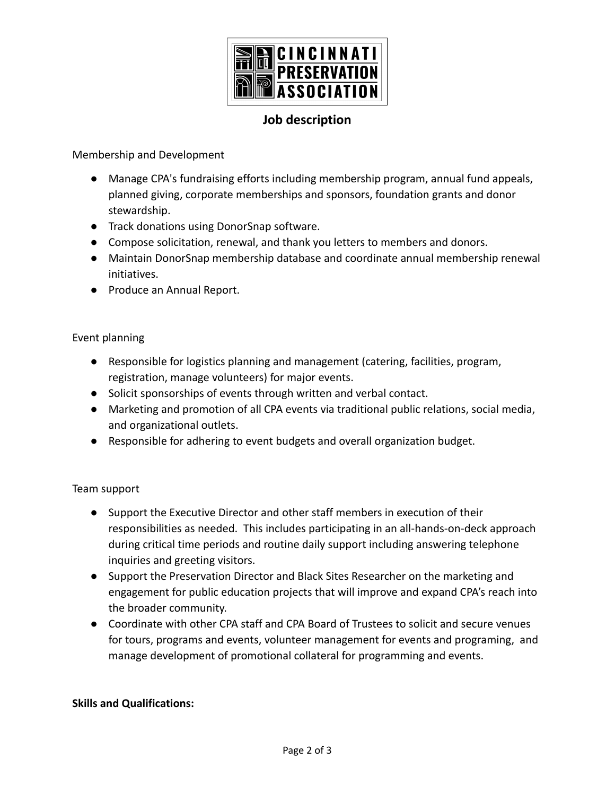

## **Job description**

Membership and Development

- Manage CPA's fundraising efforts including membership program, annual fund appeals, planned giving, corporate memberships and sponsors, foundation grants and donor stewardship.
- Track donations using DonorSnap software.
- Compose solicitation, renewal, and thank you letters to members and donors.
- Maintain DonorSnap membership database and coordinate annual membership renewal initiatives.
- Produce an Annual Report.

### Event planning

- Responsible for logistics planning and management (catering, facilities, program, registration, manage volunteers) for major events.
- Solicit sponsorships of events through written and verbal contact.
- Marketing and promotion of all CPA events via traditional public relations, social media, and organizational outlets.
- Responsible for adhering to event budgets and overall organization budget.

#### Team support

- Support the Executive Director and other staff members in execution of their responsibilities as needed. This includes participating in an all-hands-on-deck approach during critical time periods and routine daily support including answering telephone inquiries and greeting visitors.
- Support the Preservation Director and Black Sites Researcher on the marketing and engagement for public education projects that will improve and expand CPA's reach into the broader community.
- Coordinate with other CPA staff and CPA Board of Trustees to solicit and secure venues for tours, programs and events, volunteer management for events and programing, and manage development of promotional collateral for programming and events.

#### **Skills and Qualifications:**